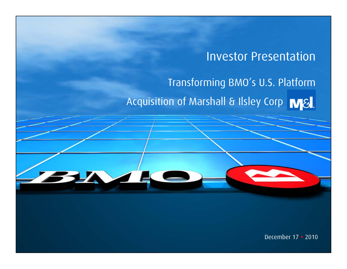## Investor Presentation

# Transforming BMO's U.S. Platform Acquisition of Marshall & Ilsley Corp M&

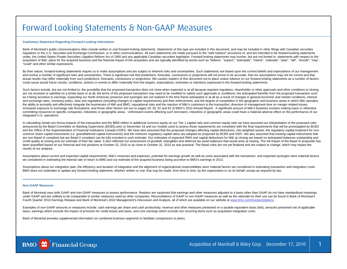### Forward Looking Statements & Non-GAAP Measures

#### **Cautionary Statement Regarding Forward-Looking Information**

Bank of Montreal's public communications often include written or oral forward-looking statements. Statements of this type are included in this document, and may be included in other filings with Canadian securities regulators or the U.S. Securities and Exchange Commission, or in other communications. All such statements are made pursuant to the "safe harbour" provisions of, and are intended to be forward-looking statements under, the United States Private Securities Litigation Reform Act of 1995 and any applicable Canadian securities legislation. Forward-looking statements may involve, but are not limited to, statements with respect to the acquisition of M&I, plans for the acquired business and the financial impact of the acquisition and are typically identified by words such as "believe", "expect", "anticipate", "intend", "estimate", "plan", "will", "should "could" and other similar expressions.

By their nature, forward-looking statements require us to make assumptions and are subject to inherent risks and uncertainties. Such statements are based upon the current beliefs and expectations of our management and involve a number of significant risks and uncertainties. There is significant risk that predictions, forecasts, conclusions or projections will not prove to be accurate, that our assumptions may not be correct and that actual results may differ materially from such predictions, forecasts, conclusions or projections. We caution readers of this document not to place undue reliance on our forward-looking statements as a number of factors could cause actual future results, conditions, actions or events to differ materially from the targets, expectations, estimates or intentions expressed in the forward-looking statements.

Such factors include, but are not limited to: the possibility that the proposed transaction does not close when expected or at all because required regulatory, shareholder or other approvals and other conditions to closing are not received or satisfied on a timely basis or at all; the terms of the proposed transaction may need to be modified to satisfy such approvals or conditions; the anticipated benefits from the proposed transaction such as it being accretive to earnings, expanding our North American presence and synergies are not realized in the time frame anticipated or at all as a result of changes in general economic and market conditions, interest and exchange rates, monetary policy, laws and regulations (including changes to capital requirements) and their enforcement, and the degree of competition in the geographic and business areas in which M&I operates; the ability to promptly and effectively integrate the businesses of M&I and BMO; reputational risks and the reaction of M&I's customers to the transaction; diversion of management time on merger-related issues; increased exposure to exchange rate fluctuations; and those other factors set out on pages 29, 30, 61 and 62 of BMO's 2010 Annual Report. A significant amount of M&I's business involves making loans or otherwise committing resources to specific companies, industries or geographic areas. Unforeseen events affecting such borrowers, industries or geographic areas could have a material adverse effect on the performance of our integrated U.S. operations.

In calculating certain pro-forma impacts of the transaction and the \$800 million in additional common equity on our Tier 1 capital ratio and common equity ratio we have assumed our interpretation of the proposed rules announced by the Basel Committee on Banking Supervision (BCBS) prior to December 16 and our models used to assess those requirements are consistent with the final requirements that will be promulgated by BCBS and the Office of the Superintendent of Financial Institutions Canada (OSFI). We have also assumed that the proposed changes affecting capital deductions, risk-weighted assets, the regulatory capital treatment for noncommon share capital instruments (i.e. grandfathered capital instruments) and the minimum regulatory capital ratios are adopted as proposed by BCBS and OSFI. We also assumed that existing capital instruments that are non-Basel III compliant but are Basel II compliant can be fully included in such estimate. Our estimates of expected RWA and capital deductions for M&I at closing are based on anticipated balances outstanding and credit quality at closing and our estimate of their fair value. It also reflected our assessment of goodwill, intangibles and deferred tax asset balances that would arise at closing. The full impact of the Basel III propos been quantified based on our financial and risk positions at October 31, 2010 or as close to October 31, 2010 as was practical. The Basel rules are not yet finalized and are subject to change, which may impact the results of our analysis.

Assumptions about current and expected capital requirements, M&I's revenues and expenses, potential for earnings growth as well as costs associated with the transaction, and expected synergies were material factors we considered in estimating the internal rate of return to BMO and our estimate of the acquired business being accretive to BMO's earnings in 2013.

Assumptions about our integration plan, the efficiency and duration of integration and the alignment of organizational responsibilities were material factors we considered in estimating transaction and integration costs. BMO does not undertake to update any forward-looking statement, whether written or oral, that may be made, from time to time, by the organization or on its behalf, except as required by law.

#### **Non-GAAP Measures**

Bank of Montreal uses both GAAP and non-GAAP measures to assess performance. Readers are cautioned that earnings and other measures adjusted to a basis other than GAAP do not have standardized meanings under GAAP and are unlikely to be comparable to similar measures used by other companies. Reconciliations of GAAP to non-GAAP measures as well as the rationale for their use can be found in Bank of Montreal's Fourth Quarter 2010 Earnings Release and Bank of Montreal's 2010 Management's Discussion and Analysis, all of which are available on our website at www.bmo.com/investorrelations.

Examples of non-GAAP amounts or measures include: cash earnings per share and cash productivity; revenue and other measures presented on a taxable equivalent basis (teb); amounts presented net of applicable taxes, earnings which exclude the impact of provision for credit losses and taxes, and core earnings which exclude non recurring items such as acquisition integration costs.

Bank of Montreal provides supplemental information on combined business segments to facilitate comparisons to peers.

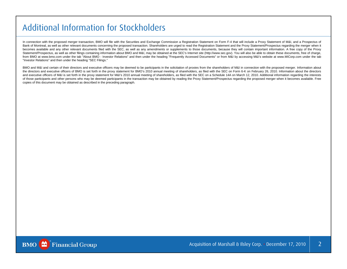### Additional Information for Stockholders

In connection with the proposed merger transaction, BMO will file with the Securities and Exchange Commission a Registration Statement on Form F-4 that will include a Proxy Statement of M&I, and a Prospectus of Bank of Montreal, as well as other relevant documents concerning the proposed transaction. Shareholders are urged to read the Registration Statement and the Proxy Statement/Prospectus regarding the merger when it becomes available and any other relevant documents filed with the SEC, as well as any amendments or supplements to those documents, because they will contain important information. A free copy of the Proxy Statement/Prospectus, as well as other filings containing information about BMO and M&I, may be obtained at the SEC's Internet site (http://www.sec.gov). You will also be able to obtain these documents, free of charge, from BMO at www.bmo.com under the tab "About BMO - Investor Relations" and then under the heading "Frequently Accessed Documents" or from M&I by accessing M&I's website at www.MICorp.com under the tab "Investor Relations" and then under the heading "SEC Filings."

BMO and M&I and certain of their directors and executive officers may be deemed to be participants in the solicitation of proxies from the shareholders of M&I in connection with the proposed merger. Information about the directors and executive officers of BMO is set forth in the proxy statement for BMO's 2010 annual meeting of shareholders, as filed with the SEC on Form 6-K on February 26, 2010. Information about the directors and executive officers of M&I is set forth in the proxy statement for M&I's 2010 annual meeting of shareholders, as filed with the SEC on a Schedule 14A on March 12, 2010. Additional information regarding the interests of those participants and other persons who may be deemed participants in the transaction may be obtained by reading the Proxy Statement/Prospectus regarding the proposed merger when it becomes available. Free copies of this document may be obtained as described in the preceding paragraph.

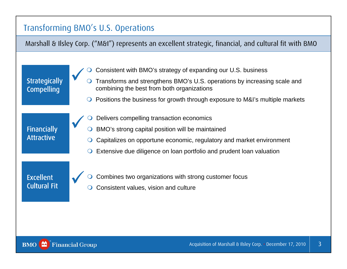### Transforming BMO's U.S. Operations

Marshall & Ilsley Corp. ("M&I") represents an excellent strategic, financial, and cultural fit with BMO

**Strategically Compelling** 

- $\bigcirc$ Consistent with BMO's strategy of expanding our U.S. business
- $\bigcirc$  Transforms and strengthens BMO's U.S. operations by increasing scale and combining the best from both organizations
- Positions the business for growth through exposure to M&I's multiple markets

Financially Attractive

- $\mathbf{\bigcirc}$ Delivers compelling transaction economics
- $\bigcirc$ BMO's strong capital position will be maintained
- $\mathbf{\bigcirc}$ Capitalizes on opportune economic, regulatory and market environment
- $\bullet$ Extensive due diligence on loan portfolio and prudent loan valuation

Excellent Cultural Fit



- $\mathbf{\bigcirc}$ Combines two organizations with strong customer focus
- $\bigcirc$ Consistent values, vision and culture

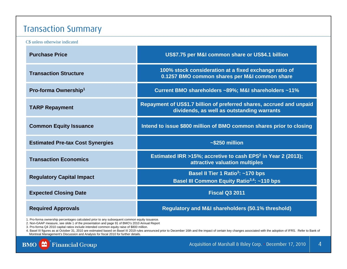### Transaction Summary

C\$ unless otherwise indicated

| <b>Purchase Price</b>                   | US\$7.75 per M&I common share or US\$4.1 billion                                                                   |
|-----------------------------------------|--------------------------------------------------------------------------------------------------------------------|
| <b>Transaction Structure</b>            | 100% stock consideration at a fixed exchange ratio of<br>0.1257 BMO common shares per M&I common share             |
| Pro-forma Ownership <sup>1</sup>        | Current BMO shareholders ~89%; M&I shareholders ~11%                                                               |
| <b>TARP Repayment</b>                   | Repayment of US\$1.7 billion of preferred shares, accrued and unpaid<br>dividends, as well as outstanding warrants |
| <b>Common Equity Issuance</b>           | Intend to issue \$800 million of BMO common shares prior to closing                                                |
| <b>Estimated Pre-tax Cost Synergies</b> | $\sim$ \$250 million                                                                                               |
| <b>Transaction Economics</b>            | Estimated IRR >15%; accretive to cash EPS <sup>2</sup> in Year 2 (2013);<br>attractive valuation multiples         |
| <b>Regulatory Capital Impact</b>        | Basel II Tier 1 Ratio <sup>3</sup> : ~170 bps<br>Basel III Common Equity Ratio <sup>3,4</sup> : ~110 bps           |
| <b>Expected Closing Date</b>            | <b>Fiscal Q3 2011</b>                                                                                              |
| <b>Required Approvals</b>               | Regulatory and M&I shareholders (50.1% threshold)                                                                  |

1. Pro-forma ownership percentages calculated prior to any subsequent common equity issuance.

2. Non-GAAP measure, see slide 1 of the presentation and page 91 of BMO's 2010 Annual Report

3. Pro-forma Q4 2010 capital ratios include intended common equity raise of \$800 million.

4. Basel III figures as at October 31, 2010 are estimated based on Basel III 2019 rules announced prior to December 16th and the impact of certain key changes associated with the adoption of IFRS. Refer to Bank of Montreal Management's Discussion and Analysis for fiscal 2010 for further details.

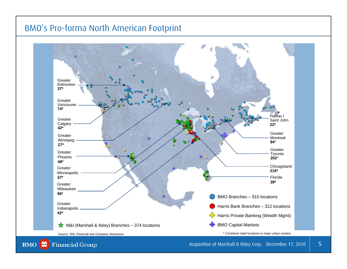### BMO's Pro-forma North American Footprint

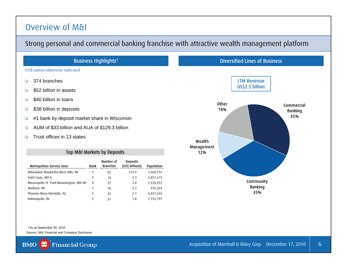### Overview of M&I

### Strong personal and commercial banking franchise with attractive wealth management platform

#### US\$ unless otherwise indicated

- $\circ$ 374 branches
- $\circ$ \$52 billion in assets
- $\circ$ \$40 billion in loans
- $\circ$ \$38 billion in deposits
- $\circ$ #1 bank by deposit market share in Wisconsin
- $\circ$ AUM of \$33 billion and AUA of \$129.3 billion
- $\circ$ Trust offices in 13 states

#### Top M&I Markets by Deposits

| Metropolitan Service Area               | Rank | Number of<br><b>Branches</b> | <b>Deposits</b><br>(US\$ billions) | Population |
|-----------------------------------------|------|------------------------------|------------------------------------|------------|
| Milwaukee-Waukesha-West Allis, WI       |      | 62                           | \$15.0                             | 1,560,515  |
| Saint Louis, MO-IL                      | 5    | 18                           | 4.3                                | 2,851,619  |
| Minneapolis-St. Paul-Bloomington, MN-WI | 4    | 37                           | 2.8                                | 3,328,053  |
| Madison, WI                             |      | 18                           | 2.3                                | 576,264    |
| Phoenix-Mesa-Glendale, AZ               | 5    | 45                           | 2.1                                | 4,441,244  |
| Indianapolis, IN                        | 5    | 31                           | 1.8                                | 1,755,797  |

#### 1 As at September 30, 2010

M

**BMO** 

Source: SNL Financial and Company Disclosure

**Financial Group** 

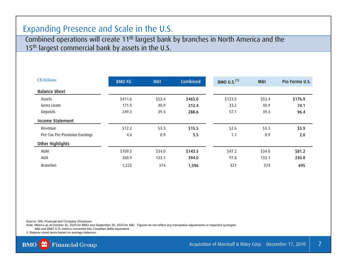### Expanding Presence and Scale in the U.S.

Combined operations will create 11<sup>th</sup> largest bank by branches in North America and the 15<sup>th</sup> largest commercial bank by assets in the U.S.

| C\$ billions                   | <b>BMO FG</b> | M8I    | <b>Combined</b> | BMO U.S. <sup>(1)</sup> | M8I    | Pro Forma U.S. |
|--------------------------------|---------------|--------|-----------------|-------------------------|--------|----------------|
| <b>Balance Sheet</b>           |               |        |                 |                         |        |                |
| Assets                         | \$411.6       | \$53.4 | \$465.0         | \$123.5                 | \$53.4 | \$176.9        |
| Gross Loans                    | 171.5         | 40.9   | 212.4           | 33.2                    | 40.9   | 74.1           |
| <b>Deposits</b>                | 249.3         | 39.3   | 288.6           | 57.1                    | 39.3   | 96.4           |
| Income Statement               |               |        |                 |                         |        |                |
| Revenue                        | \$12.2        | \$3.3  | \$15.5          | \$2.6                   | \$3.3  | \$5.9          |
| Pre-Tax Pre-Provision Earnings | 4.6           | 0.9    | 5.5             | 1.1                     | 0.9    | 2.0            |
| Other Highlights               |               |        |                 |                         |        |                |
| <b>AUM</b>                     | \$109.5       | \$34.0 | \$143.5         | \$47.2                  | \$34.0 | \$81.2         |
| <b>AUA</b>                     | 260.9         | 133.1  | 394.0           | 97.8                    | 133.1  | 230.8          |
| <b>Branches</b>                | 1,222         | 374    | 1,596           | 321                     | 374    | 695            |

Source: SNL Financial and Company Disclosure.

Note: Metrics as at October 31, 2010 for BMO and September 30, 2010 for M&I. Figures do not reflect any transaction adjustments or expected synergies.

M&I and BMO U.S. metrics converted into Canadian dollar equivalent.

1. Balance sheet items based on average balances.

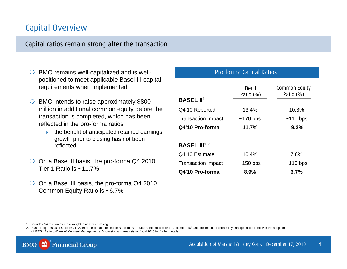### Capital Overview

### Capital ratios remain strong after the transaction

- ◯ BMO remains well-capitalized and is wellpositioned to meet applicable Basel III capital requirements when implemented
- BMO intends to raise approximately \$800 million in additional common equity before the transaction is completed, which has been reflected in the pro-forma ratios
	- $\blacktriangleright$  the benefit of anticipated retained earnings growth prior to closing has not been reflected
- O On a Basel II basis, the pro-forma Q4 2010 Tier 1 Ratio is  $~11.7\%$
- O On a Basel III basis, the pro-forma Q4 2010 Common Equity Ratio is ~6.7%

### Pro-forma Capital Ratios

| <b>BASEL II<sup>1</sup></b>     | Tier <sub>1</sub><br>Ratio $(\% )$ | Common Equity<br>Ratio $(\% )$ |
|---------------------------------|------------------------------------|--------------------------------|
| Q4'10 Reported                  | 13.4%                              | 10.3%                          |
| <b>Transaction Impact</b>       | $~170$ bps                         | $~110$ bps                     |
| Q4'10 Pro-forma                 | 11.7%                              | 9.2%                           |
| <b>BASEL III</b> <sup>1,2</sup> |                                    |                                |
| Q4'10 Estimate                  | 10.4%                              | 7.8%                           |
| <b>Transaction impact</b>       | $~150$ bps                         | $~110$ bps                     |
| Q4'10 Pro-forma                 | 8.9%                               | 6.7%                           |

2. Basel III figures as at October 31, 2010 are estimated based on Basel III 2019 rules announced prior to December 16<sup>th</sup> and the impact of certain key changes associated with the adoption of IFRS. Refer to Bank of Montreal Management's Discussion and Analysis for fiscal 2010 for further details.



<sup>1.</sup> Includes M&I's estimated risk weighted assets at closing.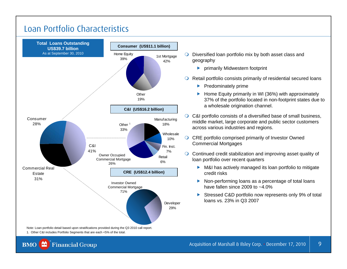### Loan Portfolio Characteristics



- Note: Loan portfolio detail based upon stratifications provided during the Q3 2010 call report.
- 1. Other C&I includes Portfolio Segments that are each <5% of the total.



- $\bigcirc$  Diversified loan portfolio mix by both asset class and geography
	- $\blacktriangleright$  primarily Midwestern footprint
- $\bigcirc$  Retail portfolio consists primarily of residential secured loans
	- $\blacktriangleright$  Predominately prime
	- $\blacktriangleright$  Home Equity primarily in WI (36%) with approximately 37% of the portfolio located in non-footprint states due to a wholesale origination channel.
- C&I portfolio consists of a diversified base of small business, middle market, large corporate and public sector customers across various industries and regions.
- O CRE portfolio comprised primarily of Investor Owned Commercial Mortgages
- $\bigcirc$  Continued credit stabilization and improving asset quality of loan portfolio over recent quarters
	- $\blacktriangleright$  M&I has actively managed its loan portfolio to mitigate credit risks
	- $\blacktriangleright$  Non-performing loans as a percentage of total loans have fallen since 2009 to ~4.0%
	- ▶ Stressed C&D portfolio now represents only 9% of total loans vs. 23% in Q3 2007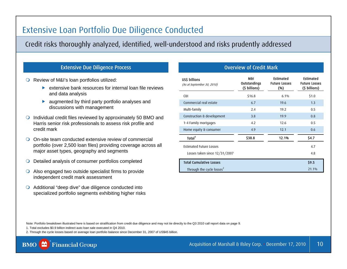### Extensive Loan Portfolio Due Diligence Conducted

Credit risks thoroughly analyzed, identified, well-understood and risks prudently addressed

### Extensive Due Diligence Process **Calculation Control Control Control Credit Mark** Overview of Credit Mark

- Review of M&I's loan portfolios utilized:
	- $\blacktriangleright$  extensive bank resources for internal loan file reviews and data analysis
	- $\blacktriangleright$  augmented by third party portfolio analyses and discussions with management
- $\bigcirc$  Individual credit files reviewed by approximately 50 BMO and Harris senior risk professionals to assess risk profile and credit mark
- On-site team conducted extensive review of commercial portfolio (over 2,500 loan files) providing coverage across all major asset types, geography and segments
- $\bullet$ Detailed analysis of consumer portfolios completed
- $\bullet$  Also engaged two outside specialist firms to provide independent credit mark assessment
- Additional "deep dive" due diligence conducted into specialized portfolio segments exhibiting higher risks

| US\$ billions<br>(As at September 30, 2010) | M&I<br>Outstandings<br>(\$ billions) | Estimated<br><b>Future Losses</b><br>(% ) | Estimated<br><b>Future Losses</b><br>(\$ billions) |
|---------------------------------------------|--------------------------------------|-------------------------------------------|----------------------------------------------------|
| ଖେ                                          | \$16.8                               | 6.1%                                      | \$1.0                                              |
| Commercial real estate                      | 6.7                                  | 19.6                                      | 1.3                                                |
| Multi-family                                | 2.4                                  | 19.2                                      | 0.5                                                |
| Construction & development                  | 3.8                                  | 19.9                                      | 0.8                                                |
| 1-4 Family mortgages                        | 4.2                                  | 12.6                                      | 0.5                                                |
| Home equity & consumer                      | 4.9                                  | 12.1                                      | 0.6                                                |
| Total <sup>1</sup>                          | \$38.8                               | 12.1%                                     | \$4.7                                              |
| <b>Estimated Future Losses</b>              |                                      |                                           | 4.7                                                |
| Losses taken since 12/31/2007               |                                      |                                           | 4.8                                                |
| <b>Total Cumulative Losses</b>              |                                      |                                           | \$9.5                                              |
| Through the cycle losses <sup>2</sup>       |                                      |                                           | 21.1%                                              |

Note: Portfolio breakdown illustrated here is based on stratification from credit due diligence and may not tie directly to the Q3 2010 call report data on page 9.

1. Total excludes \$0.9 billion indirect auto loan sale executed in Q4 2010.

2. Through the cycle losses based on average loan portfolio balance since December 31, 2007 of US\$45 billion.

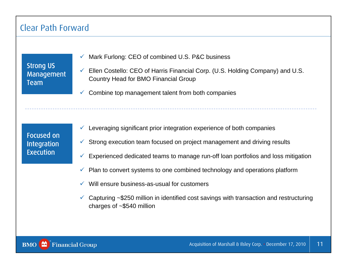### Clear Path Forward

Strong US Management Team

 $\checkmark$ Mark Furlong: CEO of combined U.S. P&C business

 $\checkmark$  Ellen Costello: CEO of Harris Financial Corp. (U.S. Holding Company) and U.S. Country Head for BMO Financial Group

 $\checkmark$ Combine top management talent from both companies

Focused on Integration **Execution** 

- $\checkmark$  Leveraging significant prior integration experience of both companies
- $\checkmark$ Strong execution team focused on project management and driving results
- $\checkmark$ Experienced dedicated teams to manage run-off loan portfolios and loss mitigation
- $\checkmark$  Plan to convert systems to one combined technology and operations platform
- $\checkmark$  Will ensure business-as-usual for customers
- $\checkmark$  Capturing ~\$250 million in identified cost savings with transaction and restructuring charges of ~\$540 million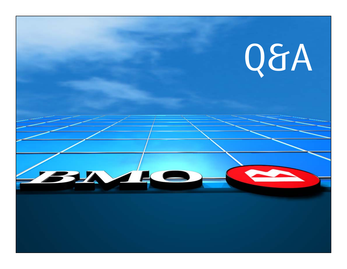